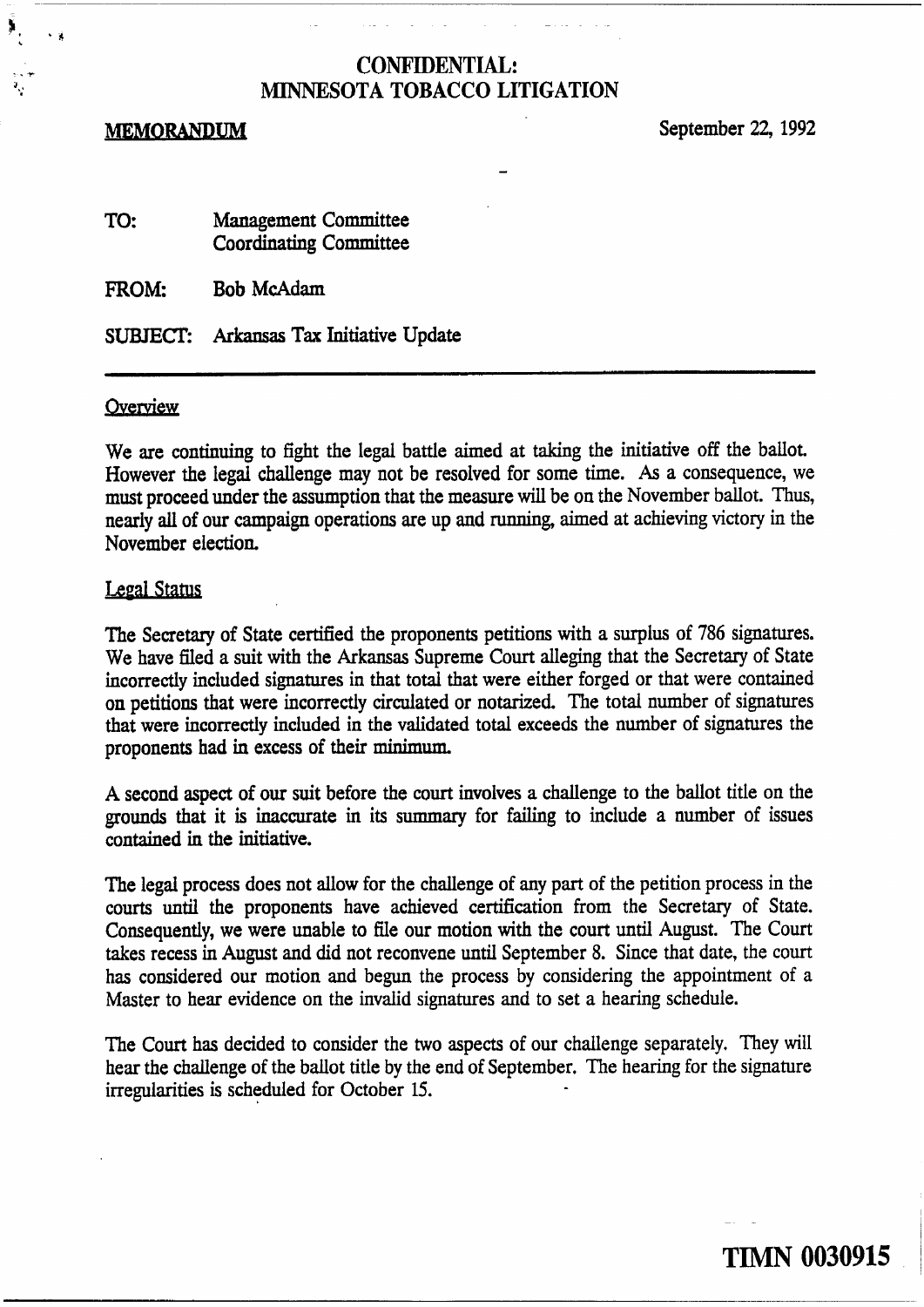#### **MEMORANDUM**

September **22,** 1992

| TO: | <b>Management Committee</b>   |  |
|-----|-------------------------------|--|
|     | <b>Coordinating Committee</b> |  |

**FROM: Bob McAdam** 

SUBTECE **Arkansas Tax** Initiative Update

#### Overview

We are continuing to fight the legai battle aimed at taking the initiative off the ballot. However the legd challenge may not be resolved for some time. **As** a consequence, we must proceed under the assumption that the measure **will** be on the November ballot. Thus, nearly **ail** of our campaign operations are up and running, aimed at achieving victory in the November election.

## **Legal Status**

The Secretary of State certified the proponents petitions with a surplus of 786 signatures. We have fled a suit with the **Arkansas** Supreme Court alleging that the Secretary of State incorrectly included signatures in that total that were either forged or that were contained on petitions that were incorrectly circulated or notarized. The total number of signatures that were incorrectly included in the validated total exceeds the number of signatures the proponents had in excess of their **minimum.** 

A second aspect of our suit before the court involves a challenge to the ballot title on the grounds that it is inaccurate in its summary for failing to include a number of issues contained in the initiative.

The legal process does not allow for the challenge of any part of the petition process in the courts untii the proponents have achieved certification from the Secretary of State. Consequently, we were unable to file our motion with the court until August. The Court takes recess in August and did not reconvene until September 8. Since that date, the court has considered our motion and begun the process by considering the appointment of a Master to hear evidence on the invalid signatures and to set a hearing schedule.

**The** Court has decided to consider the two aspects of our challenge separately. They will hear the challenge of the ballot title by the end of September. The hearing for the signature irregularities is scheduled for October 15.

**TIMN 0030915** 

- -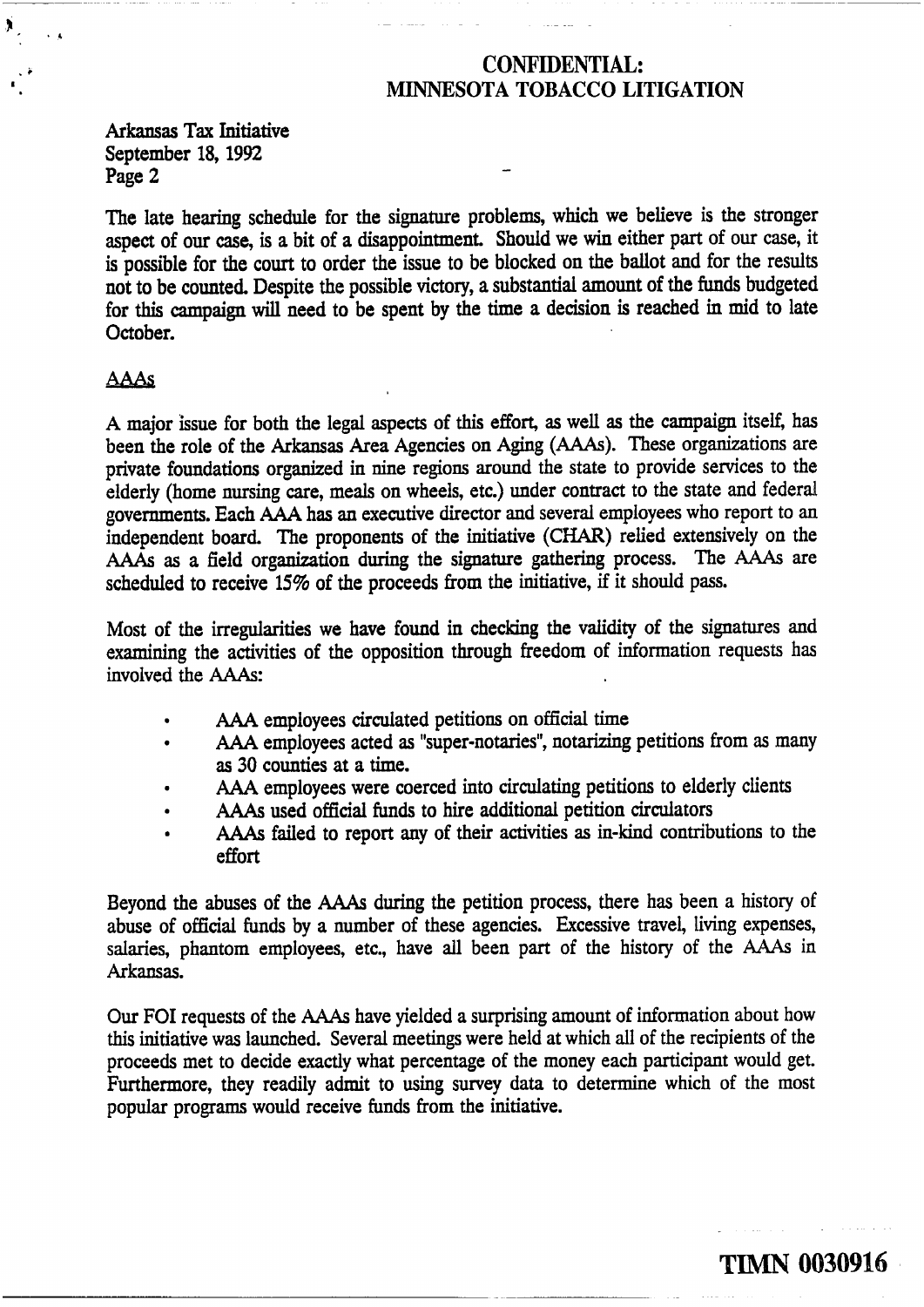Arkansas **Tax** Initiative September 18,1992 Page 2

The late hearing schedule for the signature problems, which we believe is the stronger aspect of our case, is a bit of a disappointment. Should we win either part of our case, it is possible for the court to order the issue to be blocked on the ballot and for the results not to be counted. Despite the possible victory, a substantial amount of the funds budgeted for this campaign **will** need to be spent by the time a decision is reached in mid to late October.

# **AAAs**

 $\mathcal{F}_{\mathcal{F}}$ 

A major issue for both the legal aspects of this effort, as well as the campaign itself, has been the role of the Arkansas Area Agencies on Aging **(AAAs).** These organizations are private foundations organized in **nine** regions around the state to provide services to the elderly (home nursing care, meals on wheels, etc.) under contract to the state and federal governments. Each AAA has an executive director and several employees who report to an independent board. The proponents of the initiative **(CHAR)** relied extensively on the **AAAs** as a field organization during the signature gathering process. The *AAAs* are scheduled to receive 15% of the proceeds from the initiative, if it should pass.

Most of the irregularities we have found in checking the validity of the signatures and examining the activities of the opposition through freedom of information requests has involved the **AAAs:** 

- AAA employees circulated petitions on official time
- **AAA** employees acted as "super-notaries", notarizing petitions from as many  $\bullet$ as 30 counties at a time.
- AAA employees were coerced into circulating petitions to elderly clients  $\bullet$
- **AAAs** used official funds to hire additional petition circulators
- **AAAs** failed to report any of their activities as in-kind contributions to the effort

Beyond the abuses of the **AAAs** during the petition process, there has been a history of abuse of official **funds** by a number of these agencies. Excessive travel, living expenses, salaries, phantom employees, etc., have all been part of the history of the *AAAs* in Arkansas.

**Our FOI** requests of the AAAs have yielded a surprising amount of information about how this initiative was launched. Several meetings were held at which all of the recipients of the proceeds met to decide exactly what percentage of the money each participant would get. Furthermore, they readily admit to using survey data to determine which of the most popular programs would receive funds from the initiative.

**TIMN 0030916**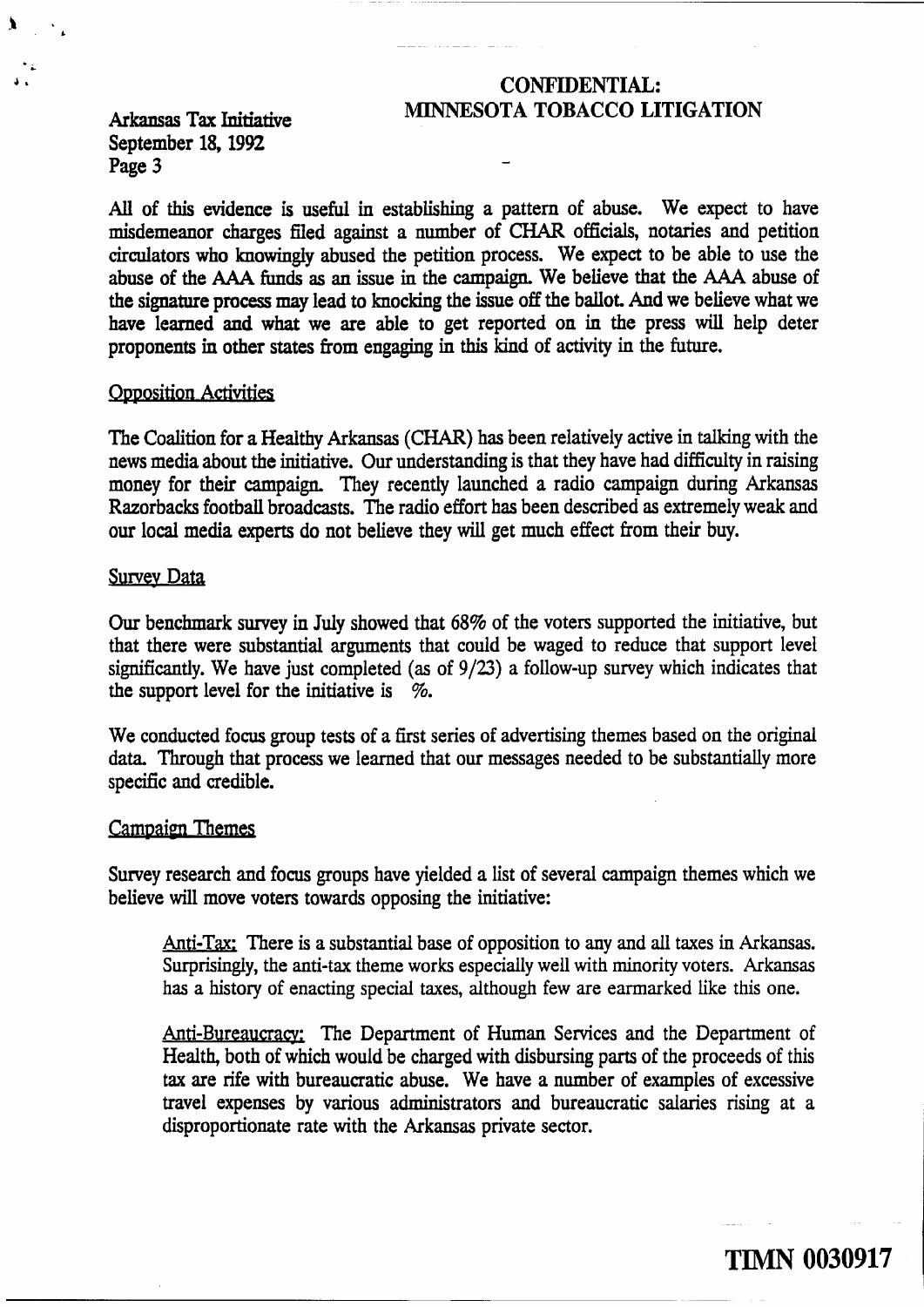# **J, CONFIDENTIAL:**  Arkansas **Tax** Initiative **MINNESOTA TOBACCO LITIGATION**

September 18, 1992<br>Page 3 Page 3 -

**e** 

**<sup>h</sup>**- - -- -

**AU** of this evidence is useful in establishing a pattern of abuse. We expect to have misdemeanor charges fled against a number of **CHAR** officials, notaries and petition circulators who knowingly abused the petition process. We expect to be able to use the abuse of the **AAA** *funds* as an issue in the campaign. We believe that the **AAA** abuse of the signature process **may** lead to knocking the issue off the ballot. **And** we believe what we have learned and what we are able to get reported on in the press will help deter proponents in other states from engaging in this kind of activity in the future.

# **Opposition Activities**

The Coalition for a Healthy Arkansas (CHAR) has been relatively active in taking with the news media about the initiative. Our understanding is that they have had difficulty in raising money for their campaign. They recently launched a radio campaign during Arkansas Razorbacks football broadcasts. The radio effort has been described **as** extremely weak and our local media experts do not believe they **will** get much effect from their buy.

#### **Survey Data**

**Our** benchmark survey in July showed that 68% of the voters supported the initiative, but that there were substantial arguments that could be waged to reduce that support level significantly. We have just completed (as of 9/23) a follow-up survey which indicates that the support level for the initiative is  $\%$ .

We conducted focus group tests of a first series of advertising themes based on the original data. Through that process we learned that our messages needed to be substantially more specific and credible.

# **Campaign Themes**

Survey research and focus groups have yielded a list of several campaign themes which we believe will move voters towards opposing the initiative:

Anti-Tax: There is a substantial base of opposition to any and all taxes in Arkansas. Surprisingly, the anti-tax theme works especially well with minority voters. Arkansas has a history of enacting special taxes, although few are earmarked like this one.

Anti-Bureaucracy: The Department of Human Services and the Department of Health, both of which would be charged with disbursing parts of the proceeds of this **tax** are rife with bureaucratic abuse. We have a number of examples of excessive travel expenses by various administrators and bureaucratic salaries rising at a disproportionate rate with the **Arkansas** private sector. <sup>I</sup>

**TIMN 0030917** 1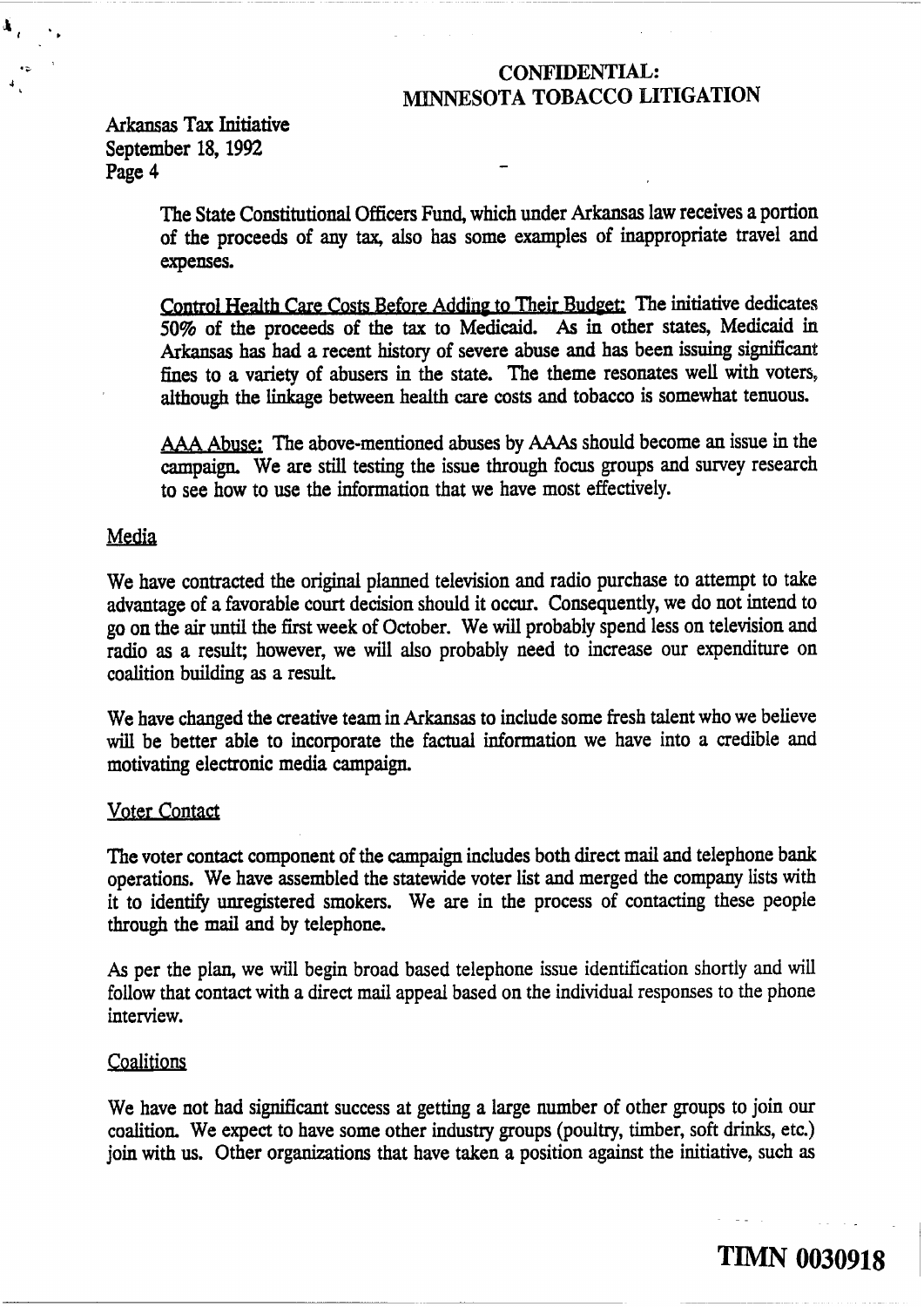Arkansas **Tax** Initiative September 18, 1992<br>Page 4

**a;** 

đ,

The State Constitutional Officers Fund, which under Arkansas law receives a portion of the proceeds of any tax, also has some examples of inappropriate travel and expenses.

Control Health Care Costs Before Adding to Their Budget: The initiative dedicates 50% of the proceeds of the **tax** to Medicaid. As in other states, Medicaid in Arkansas has had a recent history of severe abuse and has been issuing significant fines to a variety of abusers in the state. **The** theme resonates well with voters, although the linkage between health care costs and tobacco is somewhat tenuous.

Abuse; The above-mentioned abuses by **AAAs** should become an issue in the campaign. We are still testing the issue through focus groups and suwey research to see how to use the information that we have most effectively.

# Media

We have contracted the original planned television and radio purchase to attempt to take advantage of a favorable court decision should it occur. Consequently, we do not intend to go on the air until the first week of October. We will probably spend less on television and radio as a result; however, we will also probably need to increase our expenditure on coalition building **as** a result.

We have changed the creative team in Arkansas to include some fresh talent who we believe **will** be better able to incorporate the factual information we have into a credible and motivating electronic media campaign,

## Voter Contact

The voter contact component of the campaign includes both direct mail and telephone bank operations. We have assembled the statewide voter list and merged the company lists with it to identify unregistered smokers. We are in the process of contacting these people through the mail and by telephone.

**As** per the plan, we will begin broad based telephone issue identification shortly and **will**  follow that contact with a direct mail appeal based on the individual responses to the phone interview.

## Coalitions

We have not had significant success at getting a large number of other groups to join our coalition. We expect to have some other industry groups (poultry, timber, soft drinks, etc.) join with us. Other organizations that have taken a position against the initiative, such **as** 

- -.

**TIMN 0030918**